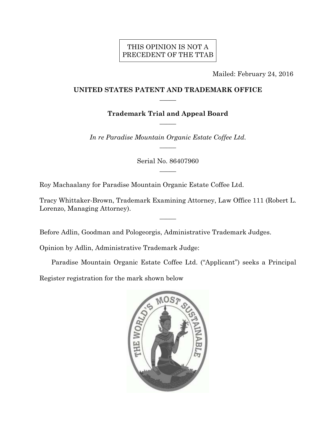## THIS OPINION IS NOT A PRECEDENT OF THE TTAB

Mailed: February 24, 2016

## **UNITED STATES PATENT AND TRADEMARK OFFICE**   $\overline{\phantom{a}}$

**Trademark Trial and Appeal Board**   $\overline{\phantom{a}}$ 

*In re Paradise Mountain Organic Estate Coffee Ltd.*   $\overline{\phantom{a}}$ 

> Serial No. 86407960  $\overline{\phantom{a}}$

Roy Machaalany for Paradise Mountain Organic Estate Coffee Ltd.

Tracy Whittaker-Brown, Trademark Examining Attorney, Law Office 111 (Robert L. Lorenzo, Managing Attorney).

 $\overline{\phantom{a}}$ 

Before Adlin, Goodman and Pologeorgis, Administrative Trademark Judges.

Opinion by Adlin, Administrative Trademark Judge:

Paradise Mountain Organic Estate Coffee Ltd. ("Applicant") seeks a Principal

Register registration for the mark shown below

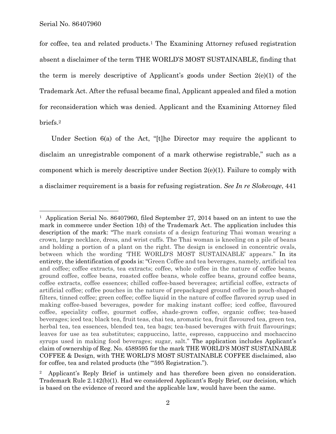1

for coffee, tea and related products.<sup>1</sup> The Examining Attorney refused registration absent a disclaimer of the term THE WORLD'S MOST SUSTAINABLE, finding that the term is merely descriptive of Applicant's goods under Section 2(e)(1) of the Trademark Act. After the refusal became final, Applicant appealed and filed a motion for reconsideration which was denied. Applicant and the Examining Attorney filed briefs.2

Under Section 6(a) of the Act, "[t]he Director may require the applicant to disclaim an unregistrable component of a mark otherwise registrable," such as a component which is merely descriptive under Section  $2(e)(1)$ . Failure to comply with a disclaimer requirement is a basis for refusing registration. *See In re Slokevage*, 441

<sup>&</sup>lt;sup>1</sup> Application Serial No. 86407960, filed September 27, 2014 based on an intent to use the mark in commerce under Section 1(b) of the Trademark Act. The application includes this description of the mark: "The mark consists of a design featuring Thai woman wearing a crown, large necklace, dress, and wrist cuffs. The Thai woman is kneeling on a pile of beans and holding a portion of a plant on the right. The design is enclosed in concentric ovals, between which the wording 'THE WORLD'S MOST SUSTAINABLE' appears." In its entirety, the identification of goods is: "Green Coffee and tea beverages, namely, artificial tea and coffee; coffee extracts, tea extracts; coffee, whole coffee in the nature of coffee beans, ground coffee, coffee beans, roasted coffee beans, whole coffee beans, ground coffee beans, coffee extracts, coffee essences; chilled coffee-based beverages; artificial coffee, extracts of artificial coffee; coffee pouches in the nature of prepackaged ground coffee in pouch-shaped filters, tinned coffee; green coffee; coffee liquid in the nature of coffee flavored syrup used in making coffee-based beverages, powder for making instant coffee; iced coffee, flavoured coffee, speciality coffee, gourmet coffee, shade-grown coffee, organic coffee; tea-based beverages; iced tea; black tea, fruit teas, chai tea, aromatic tea, fruit flavoured tea, green tea, herbal tea, tea essences, blended tea, tea bags; tea-based beverages with fruit flavourings; leaves for use as tea substitutes; cappuccino, latte, espresso, cappuccino and mochaccino syrups used in making food beverages; sugar, salt." The application includes Applicant's claim of ownership of Reg. No. 4589595 for the mark THE WORLD'S MOST SUSTAINABLE COFFEE & Design, with THE WORLD'S MOST SUSTAINABLE COFFEE disclaimed, also for coffee, tea and related products (the "595 Registration.").

<sup>2</sup> Applicant's Reply Brief is untimely and has therefore been given no consideration. Trademark Rule 2.142(b)(1). Had we considered Applicant's Reply Brief, our decision, which is based on the evidence of record and the applicable law, would have been the same.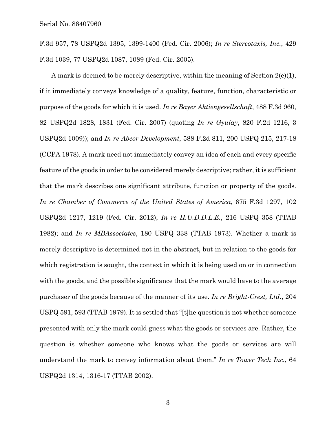F.3d 957, 78 USPQ2d 1395, 1399-1400 (Fed. Cir. 2006); *In re Stereotaxis, Inc.*, 429 F.3d 1039, 77 USPQ2d 1087, 1089 (Fed. Cir. 2005).

A mark is deemed to be merely descriptive, within the meaning of Section  $2(e)(1)$ , if it immediately conveys knowledge of a quality, feature, function, characteristic or purpose of the goods for which it is used. *In re Bayer Aktiengesellschaft*, 488 F.3d 960, 82 USPQ2d 1828, 1831 (Fed. Cir. 2007) (quoting *In re Gyulay*, 820 F.2d 1216, 3 USPQ2d 1009)); and *In re Abcor Development*, 588 F.2d 811, 200 USPQ 215, 217-18 (CCPA 1978). A mark need not immediately convey an idea of each and every specific feature of the goods in order to be considered merely descriptive; rather, it is sufficient that the mark describes one significant attribute, function or property of the goods. *In re Chamber of Commerce of the United States of America*, 675 F.3d 1297, 102 USPQ2d 1217, 1219 (Fed. Cir. 2012); *In re H.U.D.D.L.E.*, 216 USPQ 358 (TTAB 1982); and *In re MBAssociates*, 180 USPQ 338 (TTAB 1973). Whether a mark is merely descriptive is determined not in the abstract, but in relation to the goods for which registration is sought, the context in which it is being used on or in connection with the goods, and the possible significance that the mark would have to the average purchaser of the goods because of the manner of its use. *In re Bright-Crest, Ltd.*, 204 USPQ 591, 593 (TTAB 1979). It is settled that "[t]he question is not whether someone presented with only the mark could guess what the goods or services are. Rather, the question is whether someone who knows what the goods or services are will understand the mark to convey information about them." *In re Tower Tech Inc.*, 64 USPQ2d 1314, 1316-17 (TTAB 2002).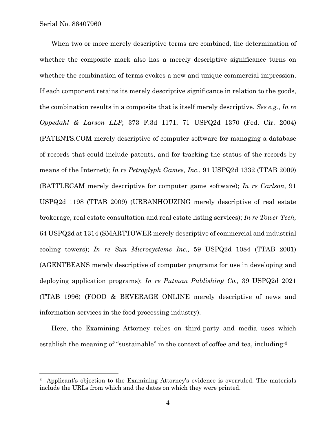1

When two or more merely descriptive terms are combined, the determination of whether the composite mark also has a merely descriptive significance turns on whether the combination of terms evokes a new and unique commercial impression. If each component retains its merely descriptive significance in relation to the goods, the combination results in a composite that is itself merely descriptive. *See e.g.*, *In re Oppedahl & Larson LLP,* 373 F.3d 1171, 71 USPQ2d 1370 (Fed. Cir. 2004) (PATENTS.COM merely descriptive of computer software for managing a database of records that could include patents, and for tracking the status of the records by means of the Internet); *In re Petroglyph Games, Inc*., 91 USPQ2d 1332 (TTAB 2009) (BATTLECAM merely descriptive for computer game software); *In re Carlson*, 91 USPQ2d 1198 (TTAB 2009) (URBANHOUZING merely descriptive of real estate brokerage, real estate consultation and real estate listing services); *In re Tower Tech,*  64 USPQ2d at 1314 (SMARTTOWER merely descriptive of commercial and industrial cooling towers); *In re Sun Microsystems Inc.,* 59 USPQ2d 1084 (TTAB 2001) (AGENTBEANS merely descriptive of computer programs for use in developing and deploying application programs); *In re Putman Publishing Co.,* 39 USPQ2d 2021 (TTAB 1996) (FOOD & BEVERAGE ONLINE merely descriptive of news and information services in the food processing industry).

Here, the Examining Attorney relies on third-party and media uses which establish the meaning of "sustainable" in the context of coffee and tea, including:3

<sup>&</sup>lt;sup>3</sup> Applicant's objection to the Examining Attorney's evidence is overruled. The materials include the URLs from which and the dates on which they were printed.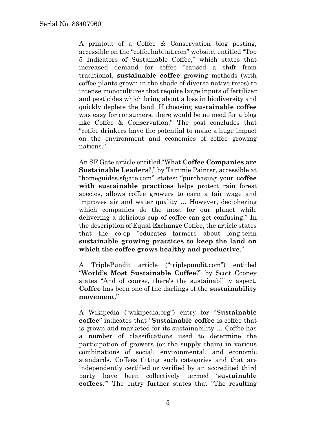A printout of a Coffee & Conservation blog posting, accessible on the "coffeehabitat.com" website, entitled "Top 5 Indicators of Sustainable Coffee," which states that increased demand for coffee "caused a shift from traditional, **sustainable coffee** growing methods (with coffee plants grown in the shade of diverse native trees) to intense monocultures that require large inputs of fertilizer and pesticides which bring about a loss in biodiversity and quickly deplete the land. If choosing **sustainable coffee**  was easy for consumers, there would be no need for a blog like Coffee & Conservation." The post concludes that "coffee drinkers have the potential to make a huge impact on the environment and economies of coffee growing nations."

An SF Gate article entitled "What **Coffee Companies are Sustainable Leaders**?," by Tammie Painter, accessible at "homeguides.sfgate.com" states: "purchasing your **coffee with sustainable practices** helps protect rain forest species, allows coffee growers to earn a fair wage and improves air and water quality … However, deciphering which companies do the most for our planet while delivering a delicious cup of coffee can get confusing." In the description of Equal Exchange Coffee, the article states that the co-op "educates farmers about long-term **sustainable growing practices to keep the land on which the coffee grows healthy and productive**."

A TriplePundit article ("triplepundit.com") entitled "**World's Most Sustainable Coffee**?" by Scott Cooney states "And of course, there's the sustainability aspect. **Coffee** has been one of the darlings of the **sustainability movement**."

A Wikipedia ("wikipedia.org") entry for "**Sustainable coffee**" indicates that "**Sustainable coffee** is coffee that is grown and marketed for its sustainability … Coffee has a number of classifications used to determine the participation of growers (or the supply chain) in various combinations of social, environmental, and economic standards. Coffees fitting such categories and that are independently certified or verified by an accredited third party have been collectively termed '**sustainable coffees**.'" The entry further states that "The resulting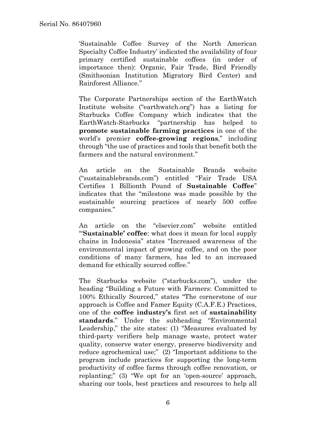'Sustainable Coffee Survey of the North American Specialty Coffee Industry' indicated the availability of four primary certified sustainable coffees (in order of importance then): Organic, Fair Trade, Bird Friendly (Smithsonian Institution Migratory Bird Center) and Rainforest Alliance."

The Corporate Partnerships section of the EarthWatch Institute website ("earthwatch.org") has a listing for Starbucks Coffee Company which indicates that the EarthWatch-Starbucks "partnership has helped to **promote sustainable farming practices** in one of the world's premier **coffee-growing regions**," including through "the use of practices and tools that benefit both the farmers and the natural environment."

An article on the Sustainable Brands website ("sustainablebrands.com") entitled "Fair Trade USA Certifies 1 Billionth Pound of **Sustainable Coffee**" indicates that the "milestone was made possible by the sustainable sourcing practices of nearly 500 coffee companies."

An article on the "elsevier.com" website entitled "'**Sustainable' coffee**: what does it mean for local supply chains in Indonesia" states "Increased awareness of the environmental impact of growing coffee, and on the poor conditions of many farmers, has led to an increased demand for ethically sourced coffee."

The Starbucks website ("starbucks.com"), under the heading "Building a Future with Farmers: Committed to 100% Ethically Sourced," states "The cornerstone of our approach is Coffee and Famer Equity (C.A.F.E.) Practices, one of the **coffee industry's** first set of **sustainability standards**." Under the subheading "Environmental Leadership," the site states: (1) "Measures evaluated by third-party verifiers help manage waste, protect water quality, conserve water energy, preserve biodiversity and reduce agrochemical use;" (2) "Important additions to the program include practices for supporting the long-term productivity of coffee farms through coffee renovation, or replanting;" (3) "We opt for an 'open-source' approach, sharing our tools, best practices and resources to help all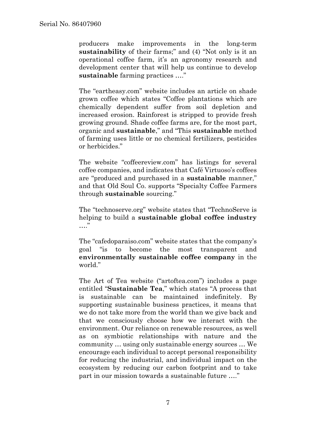producers make improvements in the long-term **sustainability** of their farms;" and (4) "Not only is it an operational coffee farm, it's an agronomy research and development center that will help us continue to develop **sustainable** farming practices …."

The "eartheasy.com" website includes an article on shade grown coffee which states "Coffee plantations which are chemically dependent suffer from soil depletion and increased erosion. Rainforest is stripped to provide fresh growing ground. Shade coffee farms are, for the most part, organic and **sustainable**," and "This **sustainable** method of farming uses little or no chemical fertilizers, pesticides or herbicides."

The website "coffeereview.com" has listings for several coffee companies, and indicates that Café Virtuoso's coffees are "produced and purchased in a **sustainable** manner," and that Old Soul Co. supports "Specialty Coffee Farmers through **sustainable** sourcing."

The "technoserve.org" website states that "TechnoServe is helping to build a **sustainable global coffee industry**   $\cdots$ "

The "cafedoparaiso.com" website states that the company's goal "is to become the most transparent and **environmentally sustainable coffee company** in the world."

The Art of Tea website ("artoftea.com") includes a page entitled "**Sustainable Tea**," which states "A process that is sustainable can be maintained indefinitely. By supporting sustainable business practices, it means that we do not take more from the world than we give back and that we consciously choose how we interact with the environment. Our reliance on renewable resources, as well as on symbiotic relationships with nature and the community … using only sustainable energy sources … We encourage each individual to accept personal responsibility for reducing the industrial, and individual impact on the ecosystem by reducing our carbon footprint and to take part in our mission towards a sustainable future …."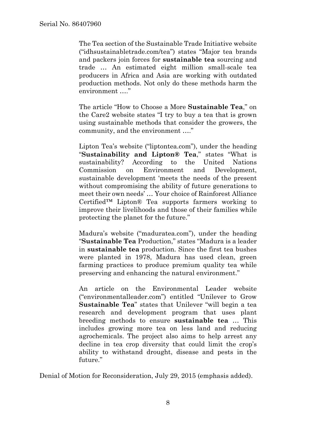The Tea section of the Sustainable Trade Initiative website ("idhsustainabletrade.com/tea") states "Major tea brands and packers join forces for **sustainable tea** sourcing and trade … An estimated eight million small-scale tea producers in Africa and Asia are working with outdated production methods. Not only do these methods harm the environment …."

The article "How to Choose a More **Sustainable Tea**," on the Care2 website states "I try to buy a tea that is grown using sustainable methods that consider the growers, the community, and the environment …."

Lipton Tea's website ("liptontea.com"), under the heading "**Sustainability and Lipton® Tea**," states "What is sustainability? According to the United Nations Commission on Environment and Development, sustainable development 'meets the needs of the present without compromising the ability of future generations to meet their own needs' … Your choice of Rainforest Alliance Certified™ Lipton® Tea supports farmers working to improve their livelihoods and those of their families while protecting the planet for the future."

Madura's website ("maduratea.com"), under the heading "**Sustainable Tea** Production," states "Madura is a leader in **sustainable tea** production. Since the first tea bushes were planted in 1978, Madura has used clean, green farming practices to produce premium quality tea while preserving and enhancing the natural environment."

An article on the Environmental Leader website ("environmentalleader.com") entitled "Unilever to Grow **Sustainable Tea**" states that Unilever "will begin a tea research and development program that uses plant breeding methods to ensure **sustainable tea** … This includes growing more tea on less land and reducing agrochemicals. The project also aims to help arrest any decline in tea crop diversity that could limit the crop's ability to withstand drought, disease and pests in the future."

Denial of Motion for Reconsideration, July 29, 2015 (emphasis added).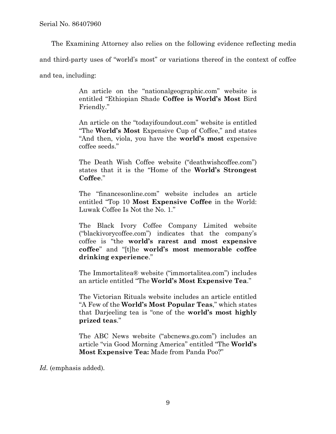The Examining Attorney also relies on the following evidence reflecting media and third-party uses of "world's most" or variations thereof in the context of coffee and tea, including:

> An article on the "nationalgeographic.com" website is entitled "Ethiopian Shade **Coffee is World's Most** Bird Friendly."

> An article on the "todayifoundout.com" website is entitled "The **World's Most** Expensive Cup of Coffee," and states "And then, viola, you have the **world's most** expensive coffee seeds."

> The Death Wish Coffee website ("deathwishcoffee.com") states that it is the "Home of the **World's Strongest Coffee**."

> The "financesonline.com" website includes an article entitled "Top 10 **Most Expensive Coffee** in the World: Luwak Coffee Is Not the No. 1."

> The Black Ivory Coffee Company Limited website ("blackivorycoffee.com") indicates that the company's coffee is "the **world's rarest and most expensive coffee**" and "[t]he **world's most memorable coffee drinking experience**."

> The Immortalitea® website ("immortalitea.com") includes an article entitled "The **World's Most Expensive Tea**."

> The Victorian Rituals website includes an article entitled "A Few of the **World's Most Popular Teas**," which states that Darjeeling tea is "one of the **world's most highly prized teas**."

> The ABC News website ("abcnews.go.com") includes an article "via Good Morning America" entitled "The **World's Most Expensive Tea:** Made from Panda Poo?"

*Id.* (emphasis added)*.*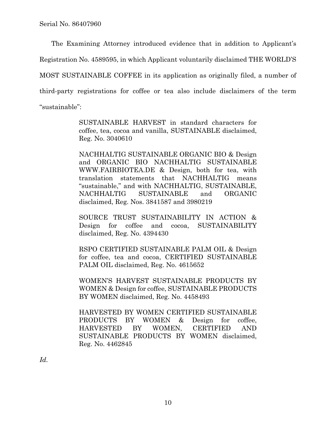The Examining Attorney introduced evidence that in addition to Applicant's

Registration No. 4589595, in which Applicant voluntarily disclaimed THE WORLD'S

MOST SUSTAINABLE COFFEE in its application as originally filed, a number of

third-party registrations for coffee or tea also include disclaimers of the term

"sustainable":

SUSTAINABLE HARVEST in standard characters for coffee, tea, cocoa and vanilla, SUSTAINABLE disclaimed, Reg. No. 3040610

NACHHALTIG SUSTAINABLE ORGANIC BIO & Design and ORGANIC BIO NACHHALTIG SUSTAINABLE WWW.FAIRBIOTEA.DE & Design, both for tea, with translation statements that NACHHALTIG means "sustainable," and with NACHHALTIG, SUSTAINABLE, NACHHALTIG SUSTAINABLE and ORGANIC disclaimed, Reg. Nos. 3841587 and 3980219

SOURCE TRUST SUSTAINABILITY IN ACTION & Design for coffee and cocoa, SUSTAINABILITY disclaimed, Reg. No. 4394430

RSPO CERTIFIED SUSTAINABLE PALM OIL & Design for coffee, tea and cocoa, CERTIFIED SUSTAINABLE PALM OIL disclaimed, Reg. No. 4615652

WOMEN'S HARVEST SUSTAINABLE PRODUCTS BY WOMEN & Design for coffee, SUSTAINABLE PRODUCTS BY WOMEN disclaimed, Reg. No. 4458493

HARVESTED BY WOMEN CERTIFIED SUSTAINABLE PRODUCTS BY WOMEN & Design for coffee. HARVESTED BY WOMEN, CERTIFIED AND SUSTAINABLE PRODUCTS BY WOMEN disclaimed, Reg. No. 4462845

*Id.*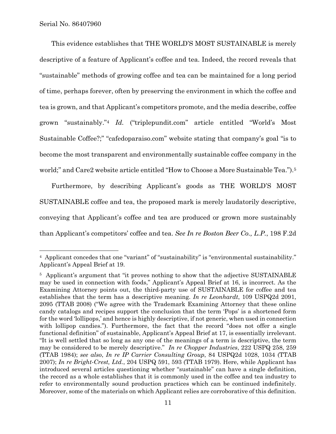$\overline{a}$ 

This evidence establishes that THE WORLD'S MOST SUSTAINABLE is merely descriptive of a feature of Applicant's coffee and tea. Indeed, the record reveals that "sustainable" methods of growing coffee and tea can be maintained for a long period of time, perhaps forever, often by preserving the environment in which the coffee and tea is grown, and that Applicant's competitors promote, and the media describe, coffee grown "sustainably."4 *Id.* ("triplepundit.com" article entitled "World's Most Sustainable Coffee?;" "cafedoparaiso.com" website stating that company's goal "is to become the most transparent and environmentally sustainable coffee company in the world;" and Care2 website article entitled "How to Choose a More Sustainable Tea.").<sup>5</sup>

Furthermore, by describing Applicant's goods as THE WORLD'S MOST SUSTAINABLE coffee and tea, the proposed mark is merely laudatorily descriptive, conveying that Applicant's coffee and tea are produced or grown more sustainably than Applicant's competitors' coffee and tea. *See In re Boston Beer Co., L.P.*, 198 F.2d

<sup>&</sup>lt;sup>4</sup> Applicant concedes that one "variant" of "sustainability" is "environmental sustainability." Applicant's Appeal Brief at 19.

<sup>&</sup>lt;sup>5</sup> Applicant's argument that "it proves nothing to show that the adjective SUSTAINABLE may be used in connection with foods," Applicant's Appeal Brief at 16, is incorrect. As the Examining Attorney points out, the third-party use of SUSTAINABLE for coffee and tea establishes that the term has a descriptive meaning. *In re Leonhardt*, 109 USPQ2d 2091, 2095 (TTAB 2008) ("We agree with the Trademark Examining Attorney that these online candy catalogs and recipes support the conclusion that the term 'Pops' is a shortened form for the word 'lollipops,' and hence is highly descriptive, if not generic, when used in connection with lollipop candies."). Furthermore, the fact that the record "does not offer a single functional definition" of sustainable, Applicant's Appeal Brief at 17, is essentially irrelevant. "It is well settled that so long as any one of the meanings of a term is descriptive, the term may be considered to be merely descriptive." *In re Chopper Industries*, 222 USPQ 258, 259 (TTAB 1984); *see also*, *In re IP Carrier Consulting Group*, 84 USPQ2d 1028, 1034 (TTAB 2007); *In re Bright-Crest, Ltd.*, 204 USPQ 591, 593 (TTAB 1979). Here, while Applicant has introduced several articles questioning whether "sustainable" can have a single definition, the record as a whole establishes that it is commonly used in the coffee and tea industry to refer to environmentally sound production practices which can be continued indefinitely. Moreover, some of the materials on which Applicant relies are corroborative of this definition.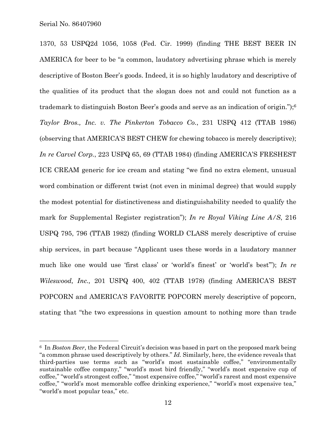$\overline{a}$ 

1370, 53 USPQ2d 1056, 1058 (Fed. Cir. 1999) (finding THE BEST BEER IN AMERICA for beer to be "a common, laudatory advertising phrase which is merely descriptive of Boston Beer's goods. Indeed, it is so highly laudatory and descriptive of the qualities of its product that the slogan does not and could not function as a trademark to distinguish Boston Beer's goods and serve as an indication of origin.");6 *Taylor Bros., Inc. v. The Pinkerton Tobacco Co.*, 231 USPQ 412 (TTAB 1986) (observing that AMERICA'S BEST CHEW for chewing tobacco is merely descriptive); *In re Carvel Corp.*, 223 USPQ 65, 69 (TTAB 1984) (finding AMERICA'S FRESHEST ICE CREAM generic for ice cream and stating "we find no extra element, unusual word combination or different twist (not even in minimal degree) that would supply the modest potential for distinctiveness and distinguishability needed to qualify the mark for Supplemental Register registration"); *In re Royal Viking Line A/S*, 216 USPQ 795, 796 (TTAB 1982) (finding WORLD CLASS merely descriptive of cruise ship services, in part because "Applicant uses these words in a laudatory manner much like one would use 'first class' or 'world's finest' or 'world's best'"); *In re Wileswood, Inc.,* 201 USPQ 400, 402 (TTAB 1978) (finding AMERICA'S BEST POPCORN and AMERICA'S FAVORITE POPCORN merely descriptive of popcorn, stating that "the two expressions in question amount to nothing more than trade

<sup>6</sup> In *Boston Beer*, the Federal Circuit's decision was based in part on the proposed mark being "a common phrase used descriptively by others." *Id.* Similarly, here, the evidence reveals that third-parties use terms such as "world's most sustainable coffee," "environmentally sustainable coffee company," "world's most bird friendly," "world's most expensive cup of coffee," "world's strongest coffee," "most expensive coffee," "world's rarest and most expensive coffee," "world's most memorable coffee drinking experience," "world's most expensive tea," "world's most popular teas," etc.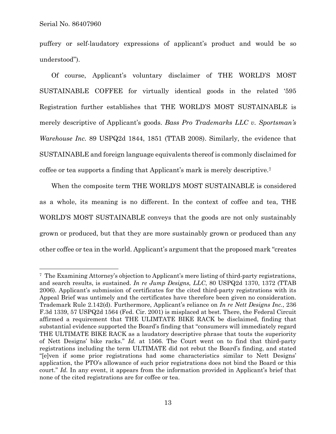$\overline{a}$ 

puffery or self-laudatory expressions of applicant's product and would be so understood").

Of course, Applicant's voluntary disclaimer of THE WORLD'S MOST SUSTAINABLE COFFEE for virtually identical goods in the related '595 Registration further establishes that THE WORLD'S MOST SUSTAINABLE is merely descriptive of Applicant's goods. *Bass Pro Trademarks LLC v. Sportsman's Warehouse Inc.* 89 USPQ2d 1844, 1851 (TTAB 2008). Similarly, the evidence that SUSTAINABLE and foreign language equivalents thereof is commonly disclaimed for coffee or tea supports a finding that Applicant's mark is merely descriptive.7

When the composite term THE WORLD'S MOST SUSTAINABLE is considered as a whole, its meaning is no different. In the context of coffee and tea, THE WORLD'S MOST SUSTAINABLE conveys that the goods are not only sustainably grown or produced, but that they are more sustainably grown or produced than any other coffee or tea in the world. Applicant's argument that the proposed mark "creates

<sup>7</sup> The Examining Attorney's objection to Applicant's mere listing of third-party registrations, and search results, is sustained. *In re Jump Designs, LLC*, 80 USPQ2d 1370, 1372 (TTAB 2006). Applicant's submission of certificates for the cited third-party registrations with its Appeal Brief was untimely and the certificates have therefore been given no consideration. Trademark Rule 2.142(d). Furthermore, Applicant's reliance on *In re Nett Designs Inc.*, 236 F.3d 1339, 57 USPQ2d 1564 (Fed. Cir. 2001) is misplaced at best. There, the Federal Circuit affirmed a requirement that THE ULIMTATE BIKE RACK be disclaimed, finding that substantial evidence supported the Board's finding that "consumers will immediately regard THE ULTIMATE BIKE RACK as a laudatory descriptive phrase that touts the superiority of Nett Designs' bike racks." *Id.* at 1566. The Court went on to find that third-party registrations including the term ULTIMATE did not rebut the Board's finding, and stated "[e]ven if some prior registrations had some characteristics similar to Nett Designs' application, the PTO's allowance of such prior registrations does not bind the Board or this court." *Id.* In any event, it appears from the information provided in Applicant's brief that none of the cited registrations are for coffee or tea.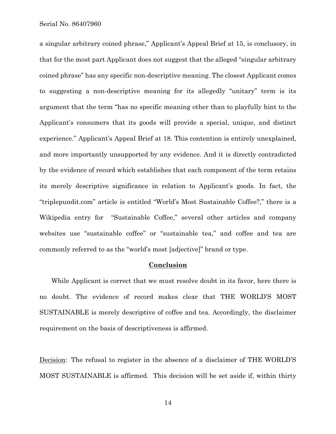Serial No. 86407960

a singular arbitrary coined phrase," Applicant's Appeal Brief at 15, is conclusory, in that for the most part Applicant does not suggest that the alleged "singular arbitrary coined phrase" has any specific non-descriptive meaning. The closest Applicant comes to suggesting a non-descriptive meaning for its allegedly "unitary" term is its argument that the term "has no specific meaning other than to playfully hint to the Applicant's consumers that its goods will provide a special, unique, and distinct experience." Applicant's Appeal Brief at 18. This contention is entirely unexplained, and more importantly unsupported by any evidence. And it is directly contradicted by the evidence of record which establishes that each component of the term retains its merely descriptive significance in relation to Applicant's goods. In fact, the "triplepundit.com" article is entitled "World's Most Sustainable Coffee?," there is a Wikipedia entry for "Sustainable Coffee," several other articles and company websites use "sustainable coffee" or "sustainable tea," and coffee and tea are commonly referred to as the "world's most [adjective]" brand or type.

## **Conclusion**

While Applicant is correct that we must resolve doubt in its favor, here there is no doubt. The evidence of record makes clear that THE WORLD'S MOST SUSTAINABLE is merely descriptive of coffee and tea. Accordingly, the disclaimer requirement on the basis of descriptiveness is affirmed.

Decision: The refusal to register in the absence of a disclaimer of THE WORLD'S MOST SUSTAINABLE is affirmed. This decision will be set aside if, within thirty